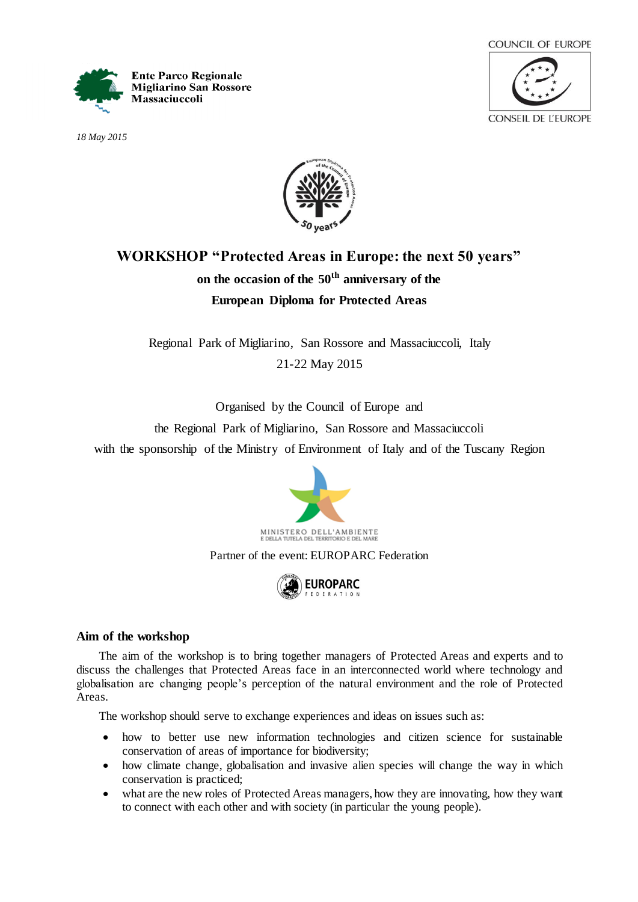

*18 May 2015*





# **WORKSHOP "Protected Areas in Europe: the next 50 years" on the occasion of the 50th anniversary of the European Diploma for Protected Areas**

Regional Park of Migliarino, San Rossore and Massaciuccoli, Italy 21-22 May 2015

Organised by the Council of Europe and

the Regional Park of Migliarino, San Rossore and Massaciuccoli

with the sponsorship of the Ministry of Environment of Italy and of the Tuscany Region



Partner of the event: EUROPARC Federation



## **Aim of the workshop**

The aim of the workshop is to bring together managers of Protected Areas and experts and to discuss the challenges that Protected Areas face in an interconnected world where technology and globalisation are changing people's perception of the natural environment and the role of Protected Areas.

The workshop should serve to exchange experiences and ideas on issues such as:

- how to better use new information technologies and citizen science for sustainable conservation of areas of importance for biodiversity;
- how climate change, globalisation and invasive alien species will change the way in which conservation is practiced;
- what are the new roles of Protected Areas managers, how they are innovating, how they want to connect with each other and with society (in particular the young people).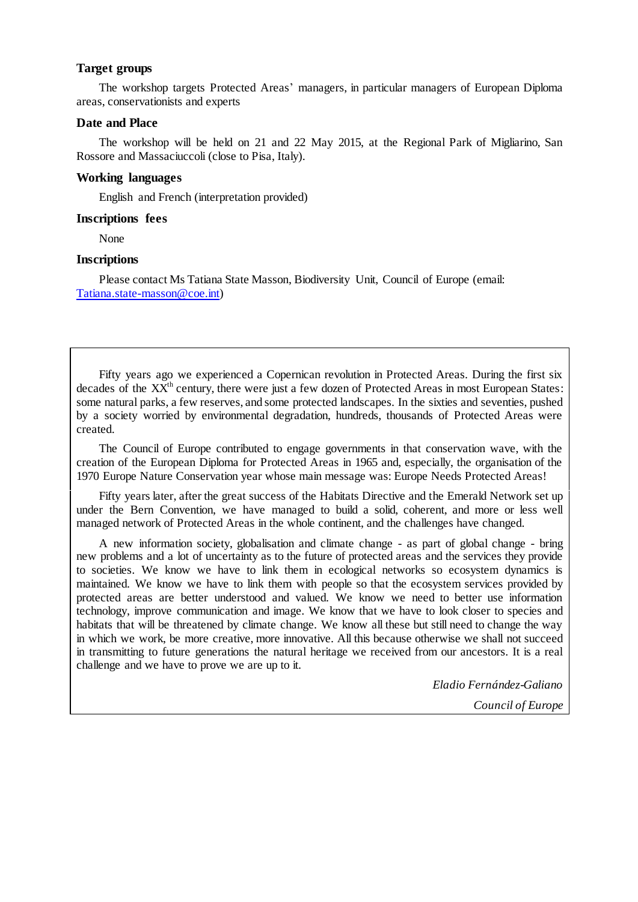## **Target groups**

The workshop targets Protected Areas' managers, in particular managers of European Diploma areas, conservationists and experts

#### **Date and Place**

The workshop will be held on 21 and 22 May 2015, at the Regional Park of Migliarino, San Rossore and Massaciuccoli (close to Pisa, Italy).

## **Working languages**

English and French (interpretation provided)

## **Inscriptions fees**

None

## **Inscriptions**

Please contact Ms Tatiana State Masson, Biodiversity Unit, Council of Europe (email: [Tatiana.state-masson@coe.int](mailto:Tatiana.state-masson@coe.int))

Fifty years ago we experienced a Copernican revolution in Protected Areas. During the first six decades of the  $XX<sup>th</sup>$  century, there were just a few dozen of Protected Areas in most European States: some natural parks, a few reserves, and some protected landscapes. In the sixties and seventies, pushed by a society worried by environmental degradation, hundreds, thousands of Protected Areas were created.

The Council of Europe contributed to engage governments in that conservation wave, with the creation of the European Diploma for Protected Areas in 1965 and, especially, the organisation of the 1970 Europe Nature Conservation year whose main message was: Europe Needs Protected Areas!

Fifty years later, after the great success of the Habitats Directive and the Emerald Network set up under the Bern Convention, we have managed to build a solid, coherent, and more or less well managed network of Protected Areas in the whole continent, and the challenges have changed.

A new information society, globalisation and climate change - as part of global change - bring new problems and a lot of uncertainty as to the future of protected areas and the services they provide to societies. We know we have to link them in ecological networks so ecosystem dynamics is maintained. We know we have to link them with people so that the ecosystem services provided by protected areas are better understood and valued. We know we need to better use information technology, improve communication and image. We know that we have to look closer to species and habitats that will be threatened by climate change. We know all these but still need to change the way in which we work, be more creative, more innovative. All this because otherwise we shall not succeed in transmitting to future generations the natural heritage we received from our ancestors. It is a real challenge and we have to prove we are up to it.

> *Eladio Fernández-Galiano Council of Europe*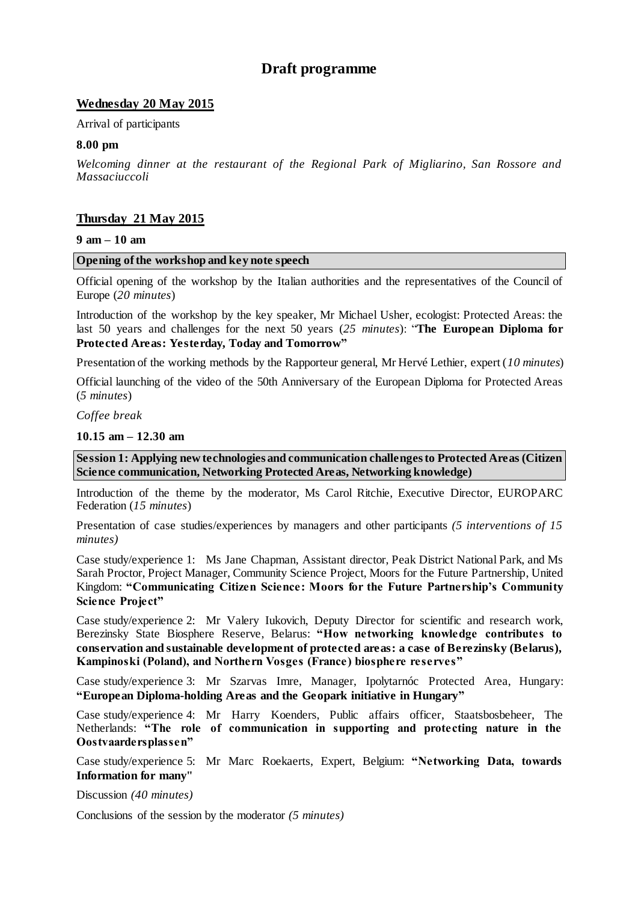## **Draft programme**

## **Wednesday 20 May 2015**

Arrival of participants

## **8.00 pm**

*Welcoming dinner at the restaurant of the Regional Park of Migliarino, San Rossore and Massaciuccoli*

## **Thursday 21 May 2015**

#### **9 am – 10 am**

#### **Opening of the workshop and key note speech**

Official opening of the workshop by the Italian authorities and the representatives of the Council of Europe (*20 minutes*)

Introduction of the workshop by the key speaker, Mr Michael Usher, ecologist: Protected Areas: the last 50 years and challenges for the next 50 years (*25 minutes*): "**The European Diploma for Protected Areas: Yesterday, Today and Tomorrow"**

Presentation of the working methods by the Rapporteur general, Mr Hervé Lethier, expert (*10 minutes*)

Official launching of the video of the 50th Anniversary of the European Diploma for Protected Areas (*5 minutes*)

*Coffee break* 

#### **10.15 am – 12.30 am**

**Session 1: Applying new technologies and communication challenges to Protected Areas (Citizen Science communication, Networking Protected Areas, Networking knowledge)**

Introduction of the theme by the moderator, Ms Carol Ritchie, Executive Director, EUROPARC Federation (*15 minutes*)

Presentation of case studies/experiences by managers and other participants *(5 interventions of 15 minutes)*

Case study/experience 1: Ms Jane Chapman, Assistant director, Peak District National Park, and Ms Sarah Proctor, Project Manager, Community Science Project, Moors for the Future Partnership, United Kingdom: **"Communicating Citizen Science: Moors for the Future Partnership's Community Science Project"**

Case study/experience 2: Mr Valery Iukovich, Deputy Director for scientific and research work, Berezinsky State Biosphere Reserve, Belarus: **"How networking knowledge contributes to conservation and sustainable development of protected areas: a case of Berezinsky (Belarus), Kampinoski (Poland), and Northern Vosges (France) biosphere reserves"**

Case study/experience 3: Mr Szarvas Imre, Manager, Ipolytarnóc Protected Area, Hungary: **"European Diploma-holding Areas and the Geopark initiative in Hungary"**

Case study/experience 4: Mr Harry Koenders, Public affairs officer, Staatsbosbeheer, The Netherlands: **"The role of communication in supporting and protecting nature in the Oostvaardersplassen"**

Case study/experience 5: Mr Marc Roekaerts, Expert, Belgium: **"Networking Data, towards Information for many"**

Discussion *(40 minutes)*

Conclusions of the session by the moderator *(5 minutes)*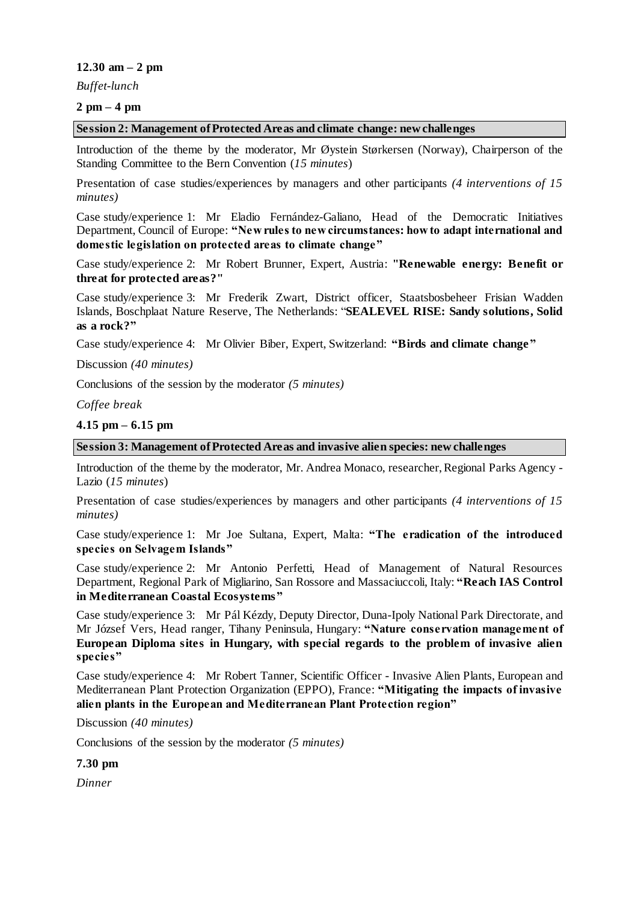## **12.30 am – 2 pm**

*Buffet-lunch*

## **2 pm – 4 pm**

#### **Session 2: Management of Protected Areas and climate change: new challenges**

Introduction of the theme by the moderator, Mr Øystein Størkersen (Norway), Chairperson of the Standing Committee to the Bern Convention (*15 minutes*)

Presentation of case studies/experiences by managers and other participants *(4 interventions of 15 minutes)*

Case study/experience 1: Mr Eladio Fernández-Galiano, Head of the Democratic Initiatives Department, Council of Europe: **"New rules to new circumstances: how to adapt international and domestic legislation on protected areas to climate change"**

Case study/experience 2: Mr Robert Brunner, Expert, Austria: **"Renewable energy: Benefit or threat for protected areas?"**

Case study/experience 3: Mr Frederik Zwart, District officer, Staatsbosbeheer Frisian Wadden Islands, Boschplaat Nature Reserve, The Netherlands: "**SEALEVEL RISE: Sandy solutions, Solid as a rock?"**

Case study/experience 4: Mr Olivier Biber, Expert, Switzerland: **"Birds and climate change"**

Discussion *(40 minutes)*

Conclusions of the session by the moderator *(5 minutes)*

*Coffee break* 

## **4.15 pm – 6.15 pm**

## **Session 3: Management of Protected Areas and invasive alien species: new challenges**

Introduction of the theme by the moderator, Mr. Andrea Monaco, researcher, Regional Parks Agency - Lazio (*15 minutes*)

Presentation of case studies/experiences by managers and other participants *(4 interventions of 15 minutes)*

Case study/experience 1: Mr Joe Sultana, Expert, Malta: **"The eradication of the introduced species on Selvagem Islands"**

Case study/experience 2: Mr Antonio Perfetti, Head of Management of Natural Resources Department, Regional Park of Migliarino, San Rossore and Massaciuccoli, Italy: **"Reach IAS Control in Mediterranean Coastal Ecosystems"**

Case study/experience 3: Mr Pál Kézdy, Deputy Director, Duna-Ipoly National Park Directorate, and Mr József Vers, Head ranger, Tihany Peninsula, Hungary: **"Nature conservation management of European Diploma sites in Hungary, with special regards to the problem of invasive alien species"**

Case study/experience 4: Mr Robert Tanner, Scientific Officer - Invasive Alien Plants, European and Mediterranean Plant Protection Organization (EPPO), France: **"Mitigating the impacts of invasive alien plants in the European and Mediterranean Plant Protection region"**

Discussion *(40 minutes)*

Conclusions of the session by the moderator *(5 minutes)*

**7.30 pm**

*Dinner*